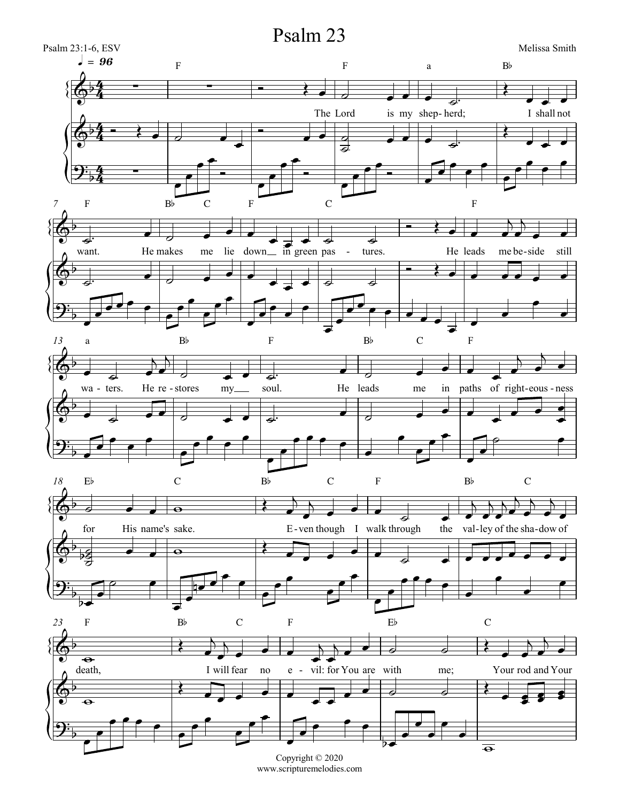



Copyright © 2020 www.scripturemelodies.com